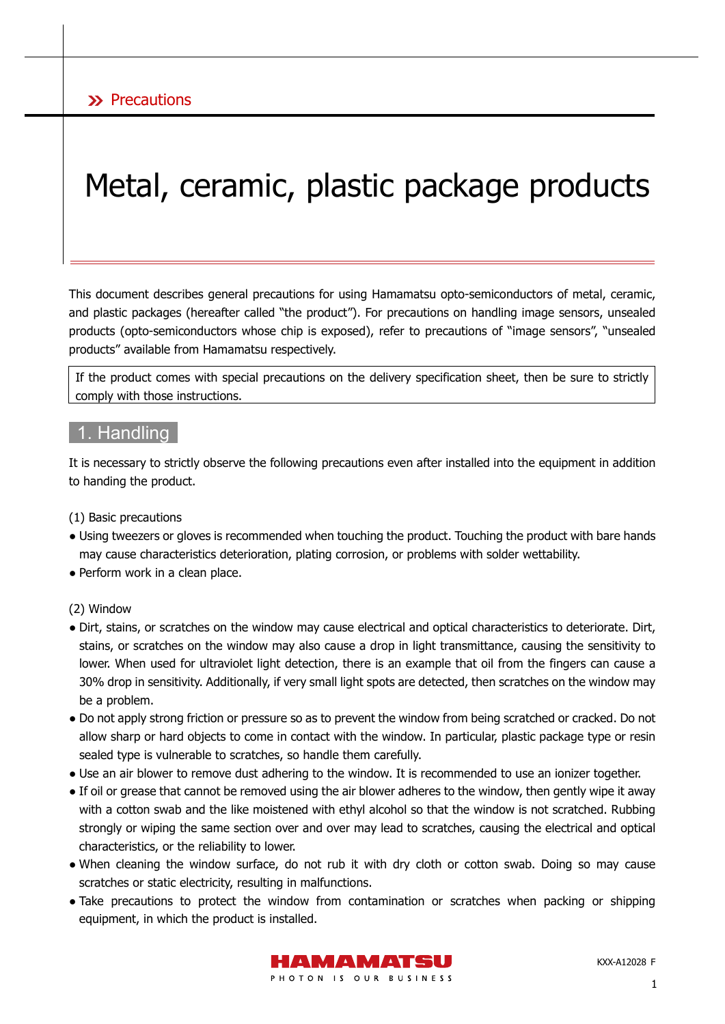# Metal, ceramic, plastic package products

This document describes general precautions for using Hamamatsu opto-semiconductors of metal, ceramic, and plastic packages (hereafter called "the product"). For precautions on handling image sensors, unsealed products (opto-semiconductors whose chip is exposed), refer to precautions of "image sensors", "unsealed products" available from Hamamatsu respectively.

If the product comes with special precautions on the delivery specification sheet, then be sure to strictly comply with those instructions.

### 1. Handling

It is necessary to strictly observe the following precautions even after installed into the equipment in addition to handing the product.

(1) Basic precautions

- Using tweezers or gloves is recommended when touching the product. Touching the product with bare hands may cause characteristics deterioration, plating corrosion, or problems with solder wettability.
- Perform work in a clean place.
- (2) Window
- Dirt, stains, or scratches on the window may cause electrical and optical characteristics to deteriorate. Dirt, stains, or scratches on the window may also cause a drop in light transmittance, causing the sensitivity to lower. When used for ultraviolet light detection, there is an example that oil from the fingers can cause a 30% drop in sensitivity. Additionally, if very small light spots are detected, then scratches on the window may be a problem.
- Do not apply strong friction or pressure so as to prevent the window from being scratched or cracked. Do not allow sharp or hard objects to come in contact with the window. In particular, plastic package type or resin sealed type is vulnerable to scratches, so handle them carefully.
- Use an air blower to remove dust adhering to the window. It is recommended to use an ionizer together.
- If oil or grease that cannot be removed using the air blower adheres to the window, then gently wipe it away with a cotton swab and the like moistened with ethyl alcohol so that the window is not scratched. Rubbing strongly or wiping the same section over and over may lead to scratches, causing the electrical and optical characteristics, or the reliability to lower.
- When cleaning the window surface, do not rub it with dry cloth or cotton swab. Doing so may cause scratches or static electricity, resulting in malfunctions.
- Take precautions to protect the window from contamination or scratches when packing or shipping equipment, in which the product is installed.



KXX-A12028 F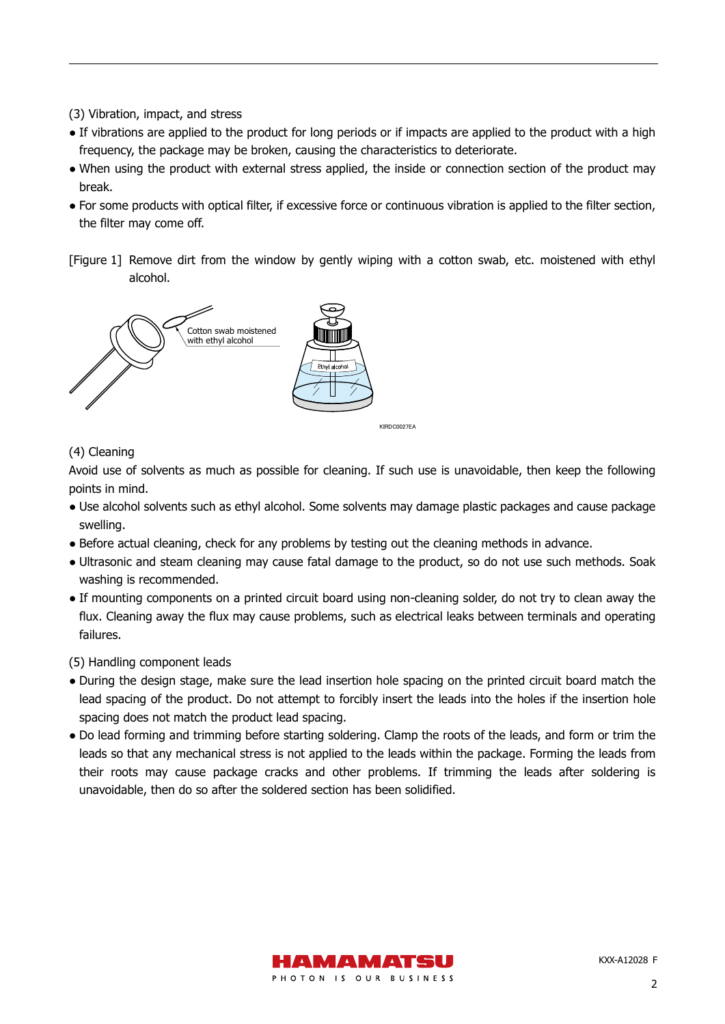- (3) Vibration, impact, and stress
- If vibrations are applied to the product for long periods or if impacts are applied to the product with a high frequency, the package may be broken, causing the characteristics to deteriorate.
- When using the product with external stress applied, the inside or connection section of the product may break.
- For some products with optical filter, if excessive force or continuous vibration is applied to the filter section, the filter may come off.
- [Figure 1] Remove dirt from the window by gently wiping with a cotton swab, etc. moistened with ethyl alcohol.



#### (4) Cleaning

Avoid use of solvents as much as possible for cleaning. If such use is unavoidable, then keep the following points in mind.

- Use alcohol solvents such as ethyl alcohol. Some solvents may damage plastic packages and cause package swelling.
- Before actual cleaning, check for any problems by testing out the cleaning methods in advance.
- Ultrasonic and steam cleaning may cause fatal damage to the product, so do not use such methods. Soak washing is recommended.
- If mounting components on a printed circuit board using non-cleaning solder, do not try to clean away the flux. Cleaning away the flux may cause problems, such as electrical leaks between terminals and operating failures.

#### (5) Handling component leads

- During the design stage, make sure the lead insertion hole spacing on the printed circuit board match the lead spacing of the product. Do not attempt to forcibly insert the leads into the holes if the insertion hole spacing does not match the product lead spacing.
- Do lead forming and trimming before starting soldering. Clamp the roots of the leads, and form or trim the leads so that any mechanical stress is not applied to the leads within the package. Forming the leads from their roots may cause package cracks and other problems. If trimming the leads after soldering is unavoidable, then do so after the soldered section has been solidified.

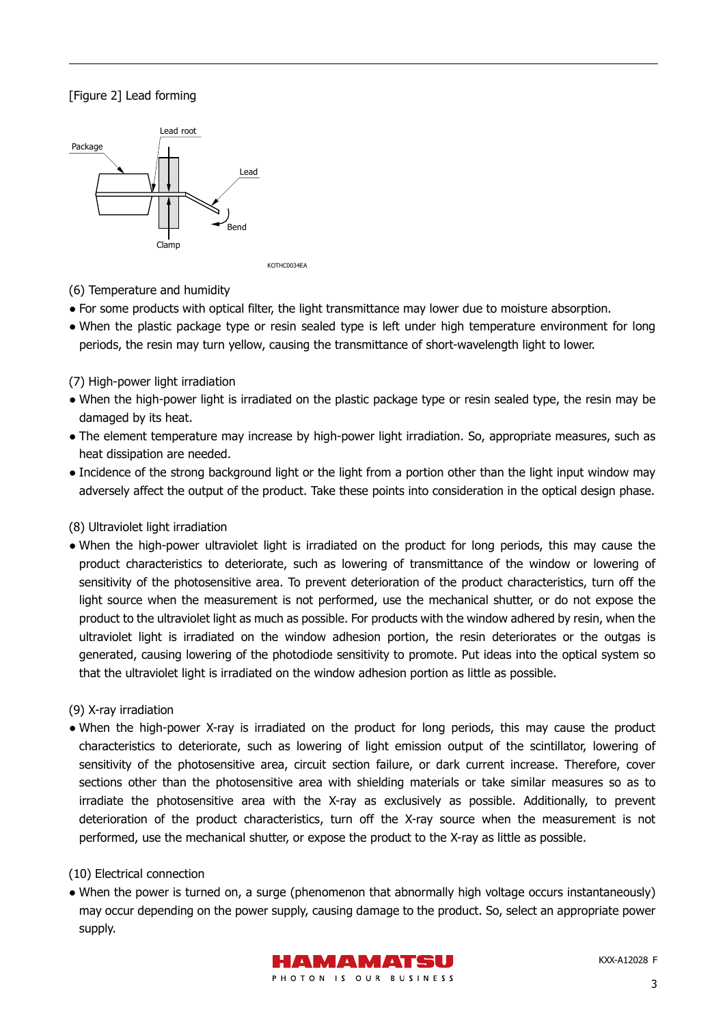#### [Figure 2] Lead forming



(6) Temperature and humidity

- For some products with optical filter, the light transmittance may lower due to moisture absorption.
- When the plastic package type or resin sealed type is left under high temperature environment for long periods, the resin may turn yellow, causing the transmittance of short-wavelength light to lower.

#### (7) High-power light irradiation

- When the high-power light is irradiated on the plastic package type or resin sealed type, the resin may be damaged by its heat.
- The element temperature may increase by high-power light irradiation. So, appropriate measures, such as heat dissipation are needed.
- Incidence of the strong background light or the light from a portion other than the light input window may adversely affect the output of the product. Take these points into consideration in the optical design phase.

#### (8) Ultraviolet light irradiation

● When the high-power ultraviolet light is irradiated on the product for long periods, this may cause the product characteristics to deteriorate, such as lowering of transmittance of the window or lowering of sensitivity of the photosensitive area. To prevent deterioration of the product characteristics, turn off the light source when the measurement is not performed, use the mechanical shutter, or do not expose the product to the ultraviolet light as much as possible. For products with the window adhered by resin, when the ultraviolet light is irradiated on the window adhesion portion, the resin deteriorates or the outgas is generated, causing lowering of the photodiode sensitivity to promote. Put ideas into the optical system so that the ultraviolet light is irradiated on the window adhesion portion as little as possible.

#### (9) X-ray irradiation

● When the high-power X-ray is irradiated on the product for long periods, this may cause the product characteristics to deteriorate, such as lowering of light emission output of the scintillator, lowering of sensitivity of the photosensitive area, circuit section failure, or dark current increase. Therefore, cover sections other than the photosensitive area with shielding materials or take similar measures so as to irradiate the photosensitive area with the X-ray as exclusively as possible. Additionally, to prevent deterioration of the product characteristics, turn off the X-ray source when the measurement is not performed, use the mechanical shutter, or expose the product to the X-ray as little as possible.

#### (10) Electrical connection

• When the power is turned on, a surge (phenomenon that abnormally high voltage occurs instantaneously) may occur depending on the power supply, causing damage to the product. So, select an appropriate power supply.

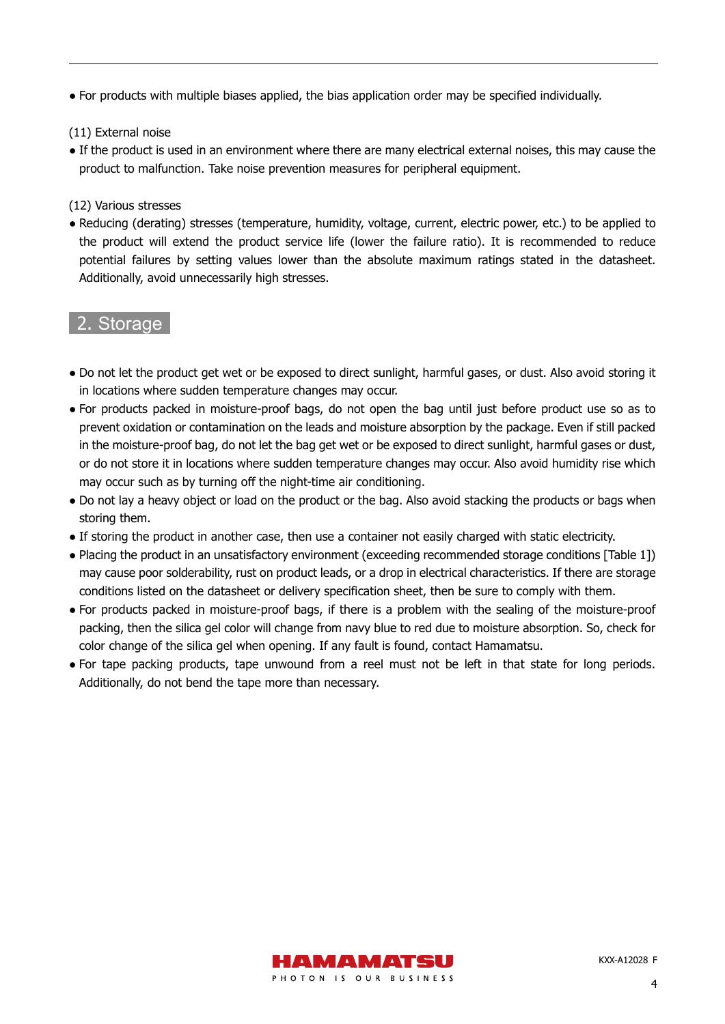● For products with multiple biases applied, the bias application order may be specified individually.

(11) External noise

● If the product is used in an environment where there are many electrical external noises, this may cause the product to malfunction. Take noise prevention measures for peripheral equipment.

(12) Various stresses

● Reducing (derating) stresses (temperature, humidity, voltage, current, electric power, etc.) to be applied to the product will extend the product service life (lower the failure ratio). It is recommended to reduce potential failures by setting values lower than the absolute maximum ratings stated in the datasheet. Additionally, avoid unnecessarily high stresses.

# 2. Storage

- Do not let the product get wet or be exposed to direct sunlight, harmful gases, or dust. Also avoid storing it in locations where sudden temperature changes may occur.
- For products packed in moisture-proof bags, do not open the bag until just before product use so as to prevent oxidation or contamination on the leads and moisture absorption by the package. Even if still packed in the moisture-proof bag, do not let the bag get wet or be exposed to direct sunlight, harmful gases or dust, or do not store it in locations where sudden temperature changes may occur. Also avoid humidity rise which may occur such as by turning off the night-time air conditioning.
- Do not lay a heavy object or load on the product or the bag. Also avoid stacking the products or bags when storing them.
- If storing the product in another case, then use a container not easily charged with static electricity.
- Placing the product in an unsatisfactory environment (exceeding recommended storage conditions [Table 1]) may cause poor solderability, rust on product leads, or a drop in electrical characteristics. If there are storage conditions listed on the datasheet or delivery specification sheet, then be sure to comply with them.
- For products packed in moisture-proof bags, if there is a problem with the sealing of the moisture-proof packing, then the silica gel color will change from navy blue to red due to moisture absorption. So, check for color change of the silica gel when opening. If any fault is found, contact Hamamatsu.
- For tape packing products, tape unwound from a reel must not be left in that state for long periods. Additionally, do not bend the tape more than necessary.

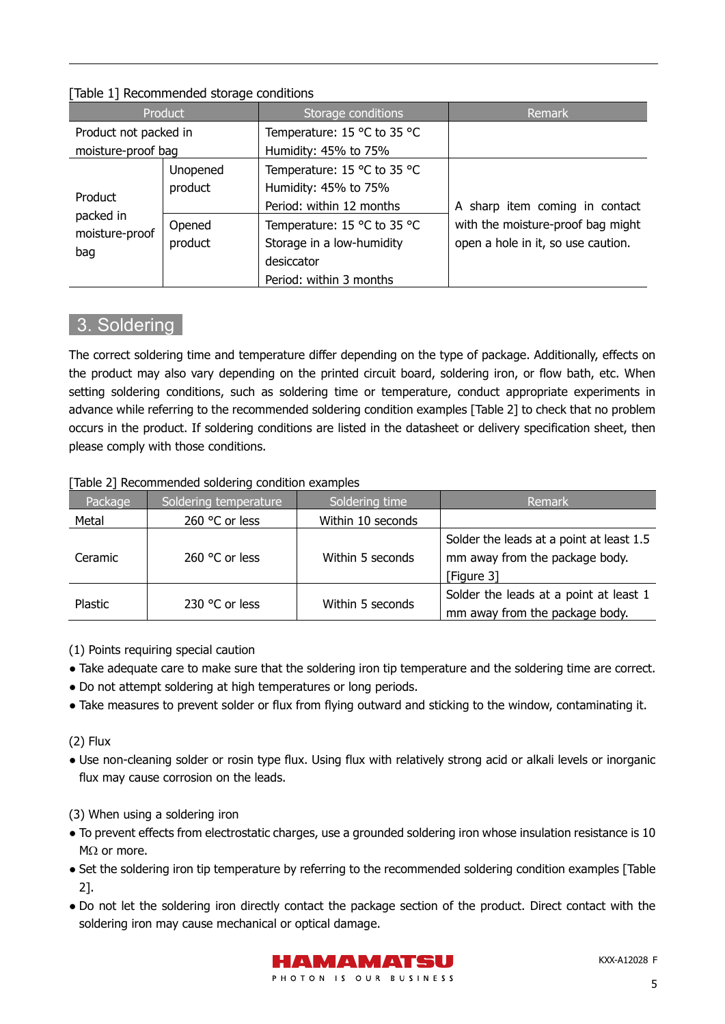| conditions to the continuum state of the conditions of |          |                             |                                    |  |  |
|--------------------------------------------------------|----------|-----------------------------|------------------------------------|--|--|
| Product                                                |          | Storage conditions          | Remark                             |  |  |
| Product not packed in                                  |          | Temperature: 15 °C to 35 °C |                                    |  |  |
| moisture-proof bag                                     |          | Humidity: 45% to 75%        |                                    |  |  |
| Product<br>packed in<br>moisture-proof<br>bag          | Unopened | Temperature: 15 °C to 35 °C |                                    |  |  |
|                                                        | product  | Humidity: 45% to 75%        |                                    |  |  |
|                                                        |          | Period: within 12 months    | A sharp item coming in contact     |  |  |
|                                                        | Opened   | Temperature: 15 °C to 35 °C | with the moisture-proof bag might  |  |  |
|                                                        | product  | Storage in a low-humidity   | open a hole in it, so use caution. |  |  |
|                                                        |          | desiccator                  |                                    |  |  |
|                                                        |          | Period: within 3 months     |                                    |  |  |

#### [Table 1] Recommended storage conditions

## 3. Soldering

The correct soldering time and temperature differ depending on the type of package. Additionally, effects on the product may also vary depending on the printed circuit board, soldering iron, or flow bath, etc. When setting soldering conditions, such as soldering time or temperature, conduct appropriate experiments in advance while referring to the recommended soldering condition examples [Table 2] to check that no problem occurs in the product. If soldering conditions are listed in the datasheet or delivery specification sheet, then please comply with those conditions.

#### [Table 2] Recommended soldering condition examples

| Package | Soldering temperature | Soldering time    | Remark                                                                                  |
|---------|-----------------------|-------------------|-----------------------------------------------------------------------------------------|
| Metal   | 260 °C or less        | Within 10 seconds |                                                                                         |
| Ceramic | 260 °C or less        | Within 5 seconds  | Solder the leads at a point at least 1.5<br>mm away from the package body.<br>Figure 31 |
| Plastic | 230 °C or less        | Within 5 seconds  | Solder the leads at a point at least 1<br>mm away from the package body.                |

(1) Points requiring special caution

- Take adequate care to make sure that the soldering iron tip temperature and the soldering time are correct.
- Do not attempt soldering at high temperatures or long periods.
- Take measures to prevent solder or flux from flying outward and sticking to the window, contaminating it.

(2) Flux

● Use non-cleaning solder or rosin type flux. Using flux with relatively strong acid or alkali levels or inorganic flux may cause corrosion on the leads.

(3) When using a soldering iron

- To prevent effects from electrostatic charges, use a grounded soldering iron whose insulation resistance is 10 MΩ or more.
- Set the soldering iron tip temperature by referring to the recommended soldering condition examples [Table 2].
- Do not let the soldering iron directly contact the package section of the product. Direct contact with the soldering iron may cause mechanical or optical damage.



KXX-A12028 F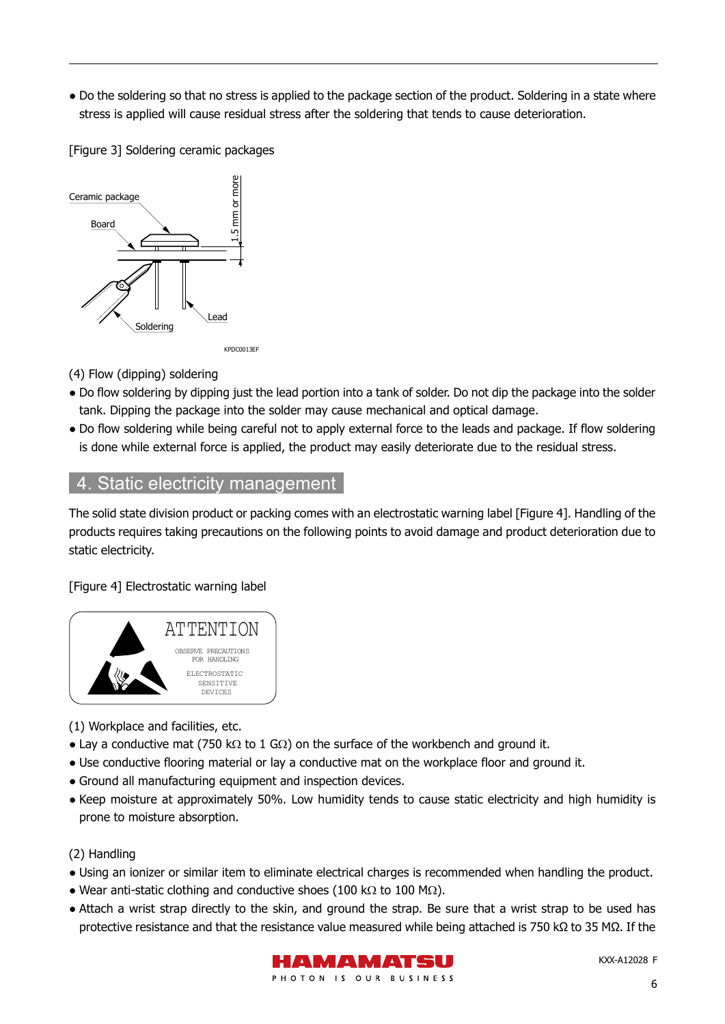● Do the soldering so that no stress is applied to the package section of the product. Soldering in a state where stress is applied will cause residual stress after the soldering that tends to cause deterioration.

[Figure 3] Soldering ceramic packages



(4) Flow (dipping) soldering

- Do flow soldering by dipping just the lead portion into a tank of solder. Do not dip the package into the solder tank. Dipping the package into the solder may cause mechanical and optical damage.
- Do flow soldering while being careful not to apply external force to the leads and package. If flow soldering is done while external force is applied, the product may easily deteriorate due to the residual stress.

## 4. Static electricity management

The solid state division product or packing comes with an electrostatic warning label [Figure 4]. Handling of the products requires taking precautions on the following points to avoid damage and product deterioration due to static electricity.

[Figure 4] Electrostatic warning label



- (1) Workplace and facilities, etc.
- Lay a conductive mat (750 kΩ to 1 GΩ) on the surface of the workbench and ground it.
- Use conductive flooring material or lay a conductive mat on the workplace floor and ground it.
- Ground all manufacturing equipment and inspection devices.
- Keep moisture at approximately 50%. Low humidity tends to cause static electricity and high humidity is prone to moisture absorption.

(2) Handling

- Using an ionizer or similar item to eliminate electrical charges is recommended when handling the product.
- Wear anti-static clothing and conductive shoes (100 k $\Omega$  to 100 M $\Omega$ ).
- Attach a wrist strap directly to the skin, and ground the strap. Be sure that a wrist strap to be used has protective resistance and that the resistance value measured while being attached is 750 kΩ to 35 MΩ. If the



KXX-A12028 F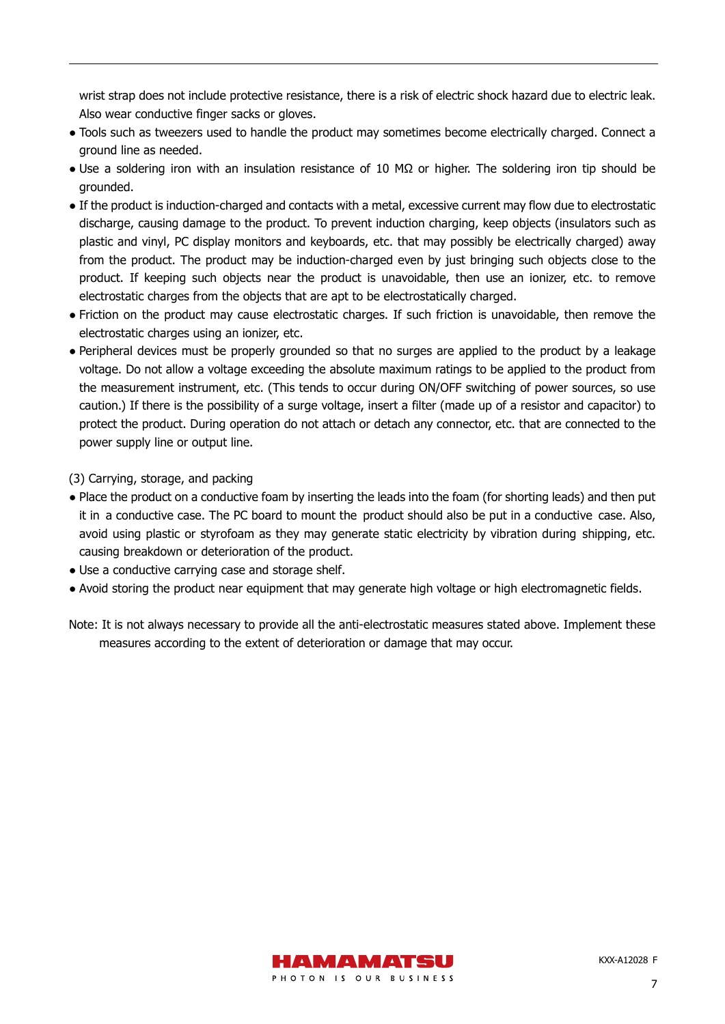wrist strap does not include protective resistance, there is a risk of electric shock hazard due to electric leak. Also wear conductive finger sacks or gloves.

- Tools such as tweezers used to handle the product may sometimes become electrically charged. Connect a ground line as needed.
- Use a soldering iron with an insulation resistance of 10 MΩ or higher. The soldering iron tip should be grounded.
- If the product is induction-charged and contacts with a metal, excessive current may flow due to electrostatic discharge, causing damage to the product. To prevent induction charging, keep objects (insulators such as plastic and vinyl, PC display monitors and keyboards, etc. that may possibly be electrically charged) away from the product. The product may be induction-charged even by just bringing such objects close to the product. If keeping such objects near the product is unavoidable, then use an ionizer, etc. to remove electrostatic charges from the objects that are apt to be electrostatically charged.
- Friction on the product may cause electrostatic charges. If such friction is unavoidable, then remove the electrostatic charges using an ionizer, etc.
- Peripheral devices must be properly grounded so that no surges are applied to the product by a leakage voltage. Do not allow a voltage exceeding the absolute maximum ratings to be applied to the product from the measurement instrument, etc. (This tends to occur during ON/OFF switching of power sources, so use caution.) If there is the possibility of a surge voltage, insert a filter (made up of a resistor and capacitor) to protect the product. During operation do not attach or detach any connector, etc. that are connected to the power supply line or output line.

(3) Carrying, storage, and packing

- Place the product on a conductive foam by inserting the leads into the foam (for shorting leads) and then put it in a conductive case. The PC board to mount the product should also be put in a conductive case. Also, avoid using plastic or styrofoam as they may generate static electricity by vibration during shipping, etc. causing breakdown or deterioration of the product.
- Use a conductive carrying case and storage shelf.
- Avoid storing the product near equipment that may generate high voltage or high electromagnetic fields.
- Note: It is not always necessary to provide all the anti-electrostatic measures stated above. Implement these measures according to the extent of deterioration or damage that may occur.